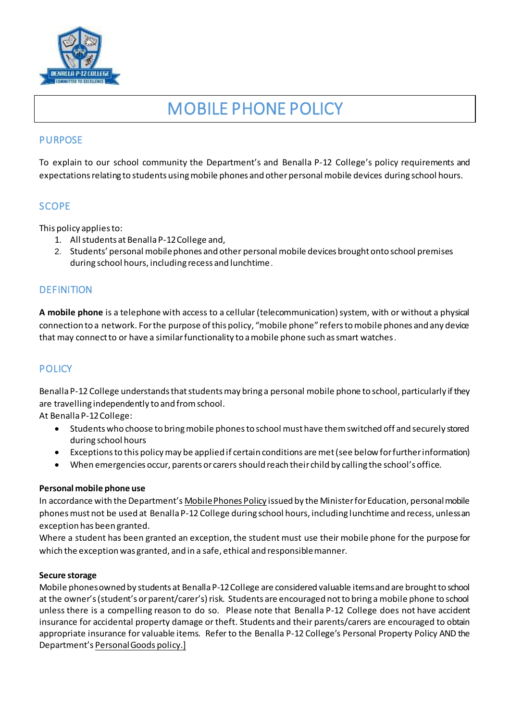

# MOBILE PHONE POLICY

## PURPOSE

To explain to our school community the Department's and Benalla P-12 College's policy requirements and expectations relating to students using mobile phones and other personal mobile devices during school hours.

# **SCOPE**

This policy applies to:

- 1. All students at Benalla P-12 College and,
- 2. Students' personal mobile phones and other personal mobile devices brought onto school premises during school hours, including recess and lunchtime.

# **DEFINITION**

**A mobile phone** is a telephone with access to a cellular (telecommunication) system, with or without a physical connection to a network. For the purpose of this policy, "mobile phone" refers to mobile phones and any device that may connect to or have a similar functionality to a mobile phone such as smart watches.

# **POLICY**

Benalla P-12 College understands that students may bring a personal mobile phone to school, particularly if they are travelling independently to and from school.

At Benalla P-12 College:

- Students who choose to bring mobile phones to school must have them switched off and securely stored during school hours
- Exceptions to this policy may be applied if certain conditions are met (see below for further information)
- When emergencies occur, parents or carers should reach their child by calling the school's office.

#### **Personal mobile phone use**

In accordance with the Department's [Mobile Phones Policy](https://www.education.vic.gov.au/school/principals/spag/safety/Pages/mobilephones.aspx) issued by the Minister for Education, personal mobile phones must not be used at Benalla P-12 College during school hours, including lunchtime and recess, unless an exception has been granted.

Where a student has been granted an exception, the student must use their mobile phone for the purpose for which the exception was granted, and in a safe, ethical and responsible manner.

#### **Secure storage**

Mobile phones owned by students at Benalla P-12 College are considered valuable items and are brought to school at the owner's (student's or parent/carer's) risk. Students are encouraged not to bring a mobile phone to school unless there is a compelling reason to do so. Please note that Benalla P-12 College does not have accident insurance for accidental property damage or theft. Students and their parents/carers are encouraged to obtain appropriate insurance for valuable items. Refer to the Benalla P-12 College's Personal Property Policy AND the Department's [Personal Goods](https://www.education.vic.gov.au/school/principals/spag/governance/pages/personalgoods.aspx) policy.]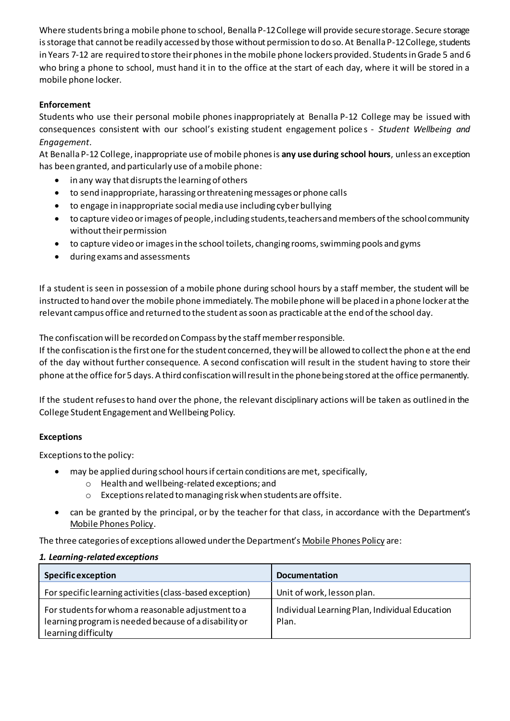Where students bring a mobile phone to school, Benalla P-12 College will provide secure storage. Secure storage is storage that cannot be readily accessed by those without permission to do so. At Benalla P-12 College, students in Years 7-12 are required to store their phones in the mobile phone lockers provided. Students in Grade 5 and 6 who bring a phone to school, must hand it in to the office at the start of each day, where it will be stored in a mobile phone locker.

## **Enforcement**

Students who use their personal mobile phones inappropriately at Benalla P-12 College may be issued with consequences consistent with our school's existing student engagement police s - *Student Wellbeing and Engagement*.

At Benalla P-12 College, inappropriate use of mobile phones is **any use during school hours**, unless an exception has been granted, and particularly use of a mobile phone:

- in any way that disrupts the learning of others
- to send inappropriate, harassing or threatening messages or phone calls
- to engage in inappropriate social media use including cyber bullying
- to capture video or images of people, including students, teachers and members of the school community without their permission
- to capture video or images in the school toilets, changing rooms, swimming pools and gyms
- during exams and assessments

If a student is seen in possession of a mobile phone during school hours by a staff member, the student will be instructed to hand over the mobile phone immediately. The mobile phone will be placed in a phone locker at the relevant campus office and returned to the student as soon as practicable at the end of the school day.

The confiscation will be recorded on Compass by the staff member responsible.

If the confiscation is the first one for the student concerned, they will be allowed to collect the phone at the end of the day without further consequence. A second confiscation will result in the student having to store their phone at the office for 5 days. A third confiscation will result in the phone being stored at the office permanently.

If the student refuses to hand over the phone, the relevant disciplinary actions will be taken as outlined in the College Student Engagement and Wellbeing Policy.

#### **Exceptions**

Exceptions to the policy:

- may be applied during school hours if certain conditions are met, specifically,
	- o Health and wellbeing-related exceptions; and
	- o Exceptions related to managing risk when students are offsite.
- can be granted by the principal, or by the teacher for that class, in accordance with the Department's [Mobile Phones Policy.](https://www.education.vic.gov.au/school/principals/spag/safety/Pages/mobilephones.aspx)

The three categories of exceptions allowed under the Department's [Mobile Phones Policy](https://www.education.vic.gov.au/school/principals/spag/safety/Pages/mobilephones.aspx) are:

#### *1. Learning-related exceptions*

| <b>Specific exception</b>                                                                                                          | <b>Documentation</b>                                    |
|------------------------------------------------------------------------------------------------------------------------------------|---------------------------------------------------------|
| For specific learning activities (class-based exception)                                                                           | Unit of work, lesson plan.                              |
| For students for whom a reasonable adjustment to a<br>learning program is needed because of a disability or<br>learning difficulty | Individual Learning Plan, Individual Education<br>Plan. |